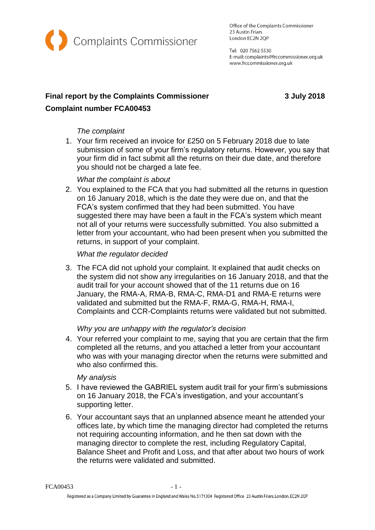

Office of the Complaints Commissioner 23 Austin Friars London EC2N 2QP

Tel: 020 7562 5530 E-mail: complaints@frccommissioner.org.uk www.frccommissioner.org.uk

# **Final report by the Complaints Commissioner 3 July 2018 Complaint number FCA00453**

# *The complaint*

1. Your firm received an invoice for £250 on 5 February 2018 due to late submission of some of your firm's regulatory returns. However, you say that your firm did in fact submit all the returns on their due date, and therefore you should not be charged a late fee.

# *What the complaint is about*

2. You explained to the FCA that you had submitted all the returns in question on 16 January 2018, which is the date they were due on, and that the FCA's system confirmed that they had been submitted. You have suggested there may have been a fault in the FCA's system which meant not all of your returns were successfully submitted. You also submitted a letter from your accountant, who had been present when you submitted the returns, in support of your complaint.

### *What the regulator decided*

3. The FCA did not uphold your complaint. It explained that audit checks on the system did not show any irregularities on 16 January 2018, and that the audit trail for your account showed that of the 11 returns due on 16 January, the RMA-A, RMA-B, RMA-C, RMA-D1 and RMA-E returns were validated and submitted but the RMA-F, RMA-G, RMA-H, RMA-I, Complaints and CCR-Complaints returns were validated but not submitted.

# *Why you are unhappy with the regulator's decision*

4. Your referred your complaint to me, saying that you are certain that the firm completed all the returns, and you attached a letter from your accountant who was with your managing director when the returns were submitted and who also confirmed this.

#### *My analysis*

- 5. I have reviewed the GABRIEL system audit trail for your firm's submissions on 16 January 2018, the FCA's investigation, and your accountant's supporting letter.
- 6. Your accountant says that an unplanned absence meant he attended your offices late, by which time the managing director had completed the returns not requiring accounting information, and he then sat down with the managing director to complete the rest, including Regulatory Capital, Balance Sheet and Profit and Loss, and that after about two hours of work the returns were validated and submitted.